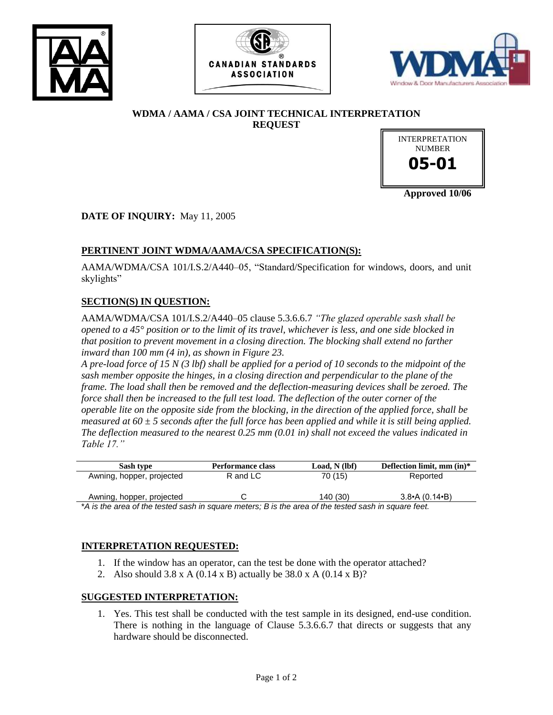





# **WDMA / AAMA / CSA JOINT TECHNICAL INTERPRETATION REQUEST**



**Approved 10/06**

**DATE OF INQUIRY:** May 11, 2005

# **PERTINENT JOINT WDMA/AAMA/CSA SPECIFICATION(S):**

AAMA/WDMA/CSA 101/I.S.2/A440–05, "Standard/Specification for windows, doors, and unit skylights"

## **SECTION(S) IN QUESTION:**

AAMA/WDMA/CSA 101/I.S.2/A440–05 clause 5.3.6.6.7 *"The glazed operable sash shall be opened to a 45° position or to the limit of its travel, whichever is less, and one side blocked in that position to prevent movement in a closing direction. The blocking shall extend no farther inward than 100 mm (4 in), as shown in Figure 23.*

*A pre-load force of 15 N (3 lbf) shall be applied for a period of 10 seconds to the midpoint of the sash member opposite the hinges, in a closing direction and perpendicular to the plane of the frame. The load shall then be removed and the deflection-measuring devices shall be zeroed. The force shall then be increased to the full test load. The deflection of the outer corner of the operable lite on the opposite side from the blocking, in the direction of the applied force, shall be measured at 60 ± 5 seconds after the full force has been applied and while it is still being applied. The deflection measured to the nearest 0.25 mm (0.01 in) shall not exceed the values indicated in Table 17."*

| Sash type                                                                                                | Performance class | Load. N (lbf) | Deflection limit, mm $(in)*$ |
|----------------------------------------------------------------------------------------------------------|-------------------|---------------|------------------------------|
| Awning, hopper, projected                                                                                | R and LC          | 70 (15)       | Reported                     |
| Awning, hopper, projected                                                                                |                   | 140 (30)      | $3.8 \cdot A (0.14 \cdot B)$ |
| * A de die ener ef die deel eerlijn en mens niedens. Die die ener ef die deele deel daar het gemaak deur |                   |               |                              |

\**A is the area of the tested sash in square meters; B is the area of the tested sash in square feet.*

### **INTERPRETATION REQUESTED:**

- 1. If the window has an operator, can the test be done with the operator attached?
- 2. Also should 3.8 x A (0.14 x B) actually be 38.0 x A (0.14 x B)?

#### **SUGGESTED INTERPRETATION:**

1. Yes. This test shall be conducted with the test sample in its designed, end-use condition. There is nothing in the language of Clause 5.3.6.6.7 that directs or suggests that any hardware should be disconnected.